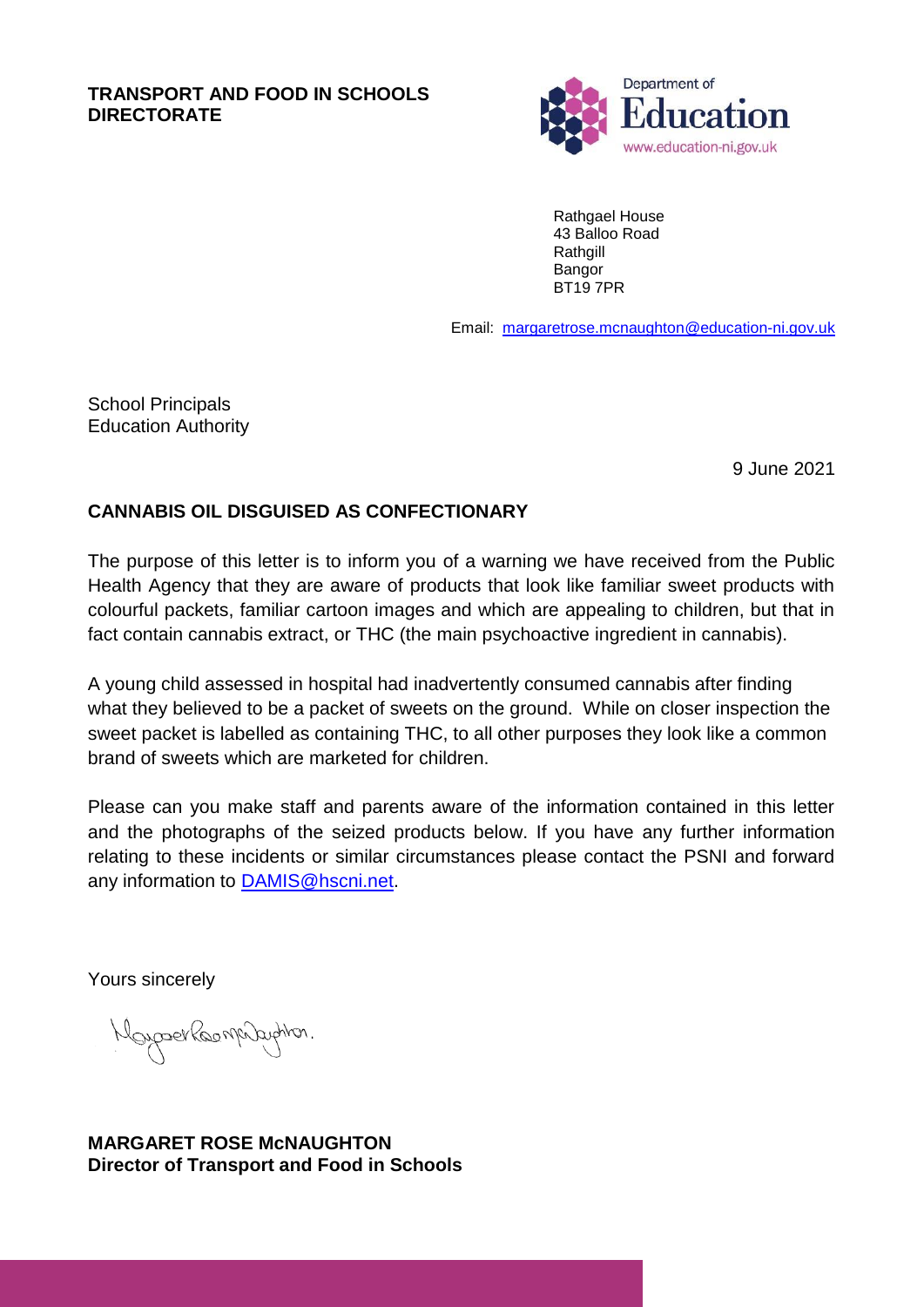## **TRANSPORT AND FOOD IN SCHOOLS DIRECTORATE**



Rathgael House 43 Balloo Road Rathgill **Bangor** BT19 7PR

Email: [margaretrose.mcnaughton@](mailto:jill.fitzgerald@education-ni.gov.uk)education-ni.gov.uk

School Principals Education Authority

9 June 2021

## **CANNABIS OIL DISGUISED AS CONFECTIONARY**

The purpose of this letter is to inform you of a warning we have received from the Public Health Agency that they are aware of products that look like familiar sweet products with colourful packets, familiar cartoon images and which are appealing to children, but that in fact contain cannabis extract, or THC (the main psychoactive ingredient in cannabis).

A young child assessed in hospital had inadvertently consumed cannabis after finding what they believed to be a packet of sweets on the ground. While on closer inspection the sweet packet is labelled as containing THC, to all other purposes they look like a common brand of sweets which are marketed for children.

Please can you make staff and parents aware of the information contained in this letter and the photographs of the seized products below. If you have any further information relating to these incidents or similar circumstances please contact the PSNI and forward any information to [DAMIS@hscni.net.](mailto:DAMIS@hscni.net)

Yours sincerely

Moyaser Roomprayeron.

**MARGARET ROSE McNAUGHTON Director of Transport and Food in Schools**